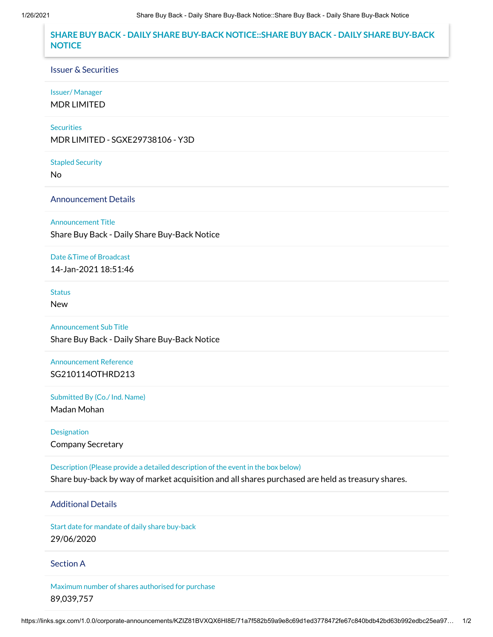# **SHARE BUY BACK - DAILY SHARE BUY-BACK NOTICE::SHARE BUY BACK - DAILY SHARE BUY-BACK NOTICE**

#### Issuer & Securities

### Issuer/ Manager

MDR LIMITED

### **Securities**

MDR LIMITED - SGXE29738106 - Y3D

#### Stapled Security

No

### Announcement Details

#### Announcement Title

Share Buy Back - Daily Share Buy-Back Notice

### Date &Time of Broadcast

14-Jan-2021 18:51:46

# **Status**

New

# Announcement Sub Title

Share Buy Back - Daily Share Buy-Back Notice

# Announcement Reference SG210114OTHRD213

Submitted By (Co./ Ind. Name)

Madan Mohan

# Designation Company Secretary

Description (Please provide a detailed description of the event in the box below) Share buy-back by way of market acquisition and all shares purchased are held as treasury shares.

# Additional Details

Start date for mandate of daily share buy-back 29/06/2020

### Section A

Maximum number of shares authorised for purchase 89,039,757